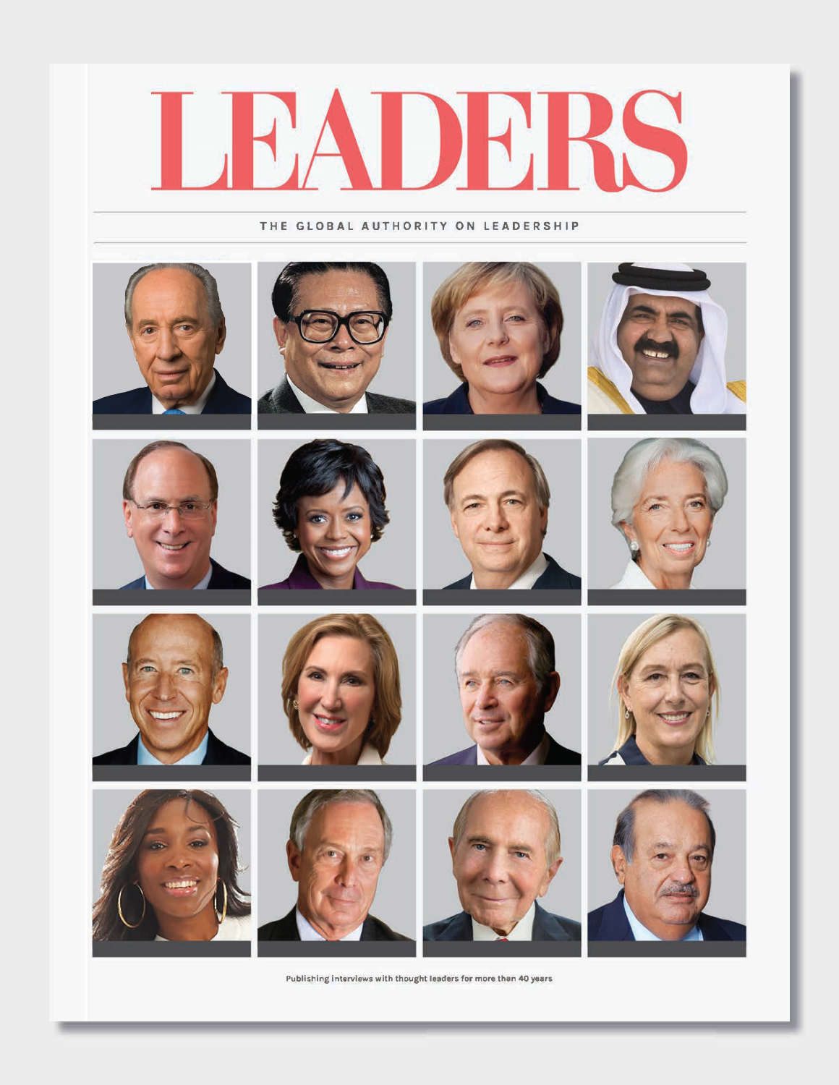

**THE GLOBAL AUTHORITY ON LEADERSHIP** 



**Publishing interviews with thought teaclers for more than 40 years**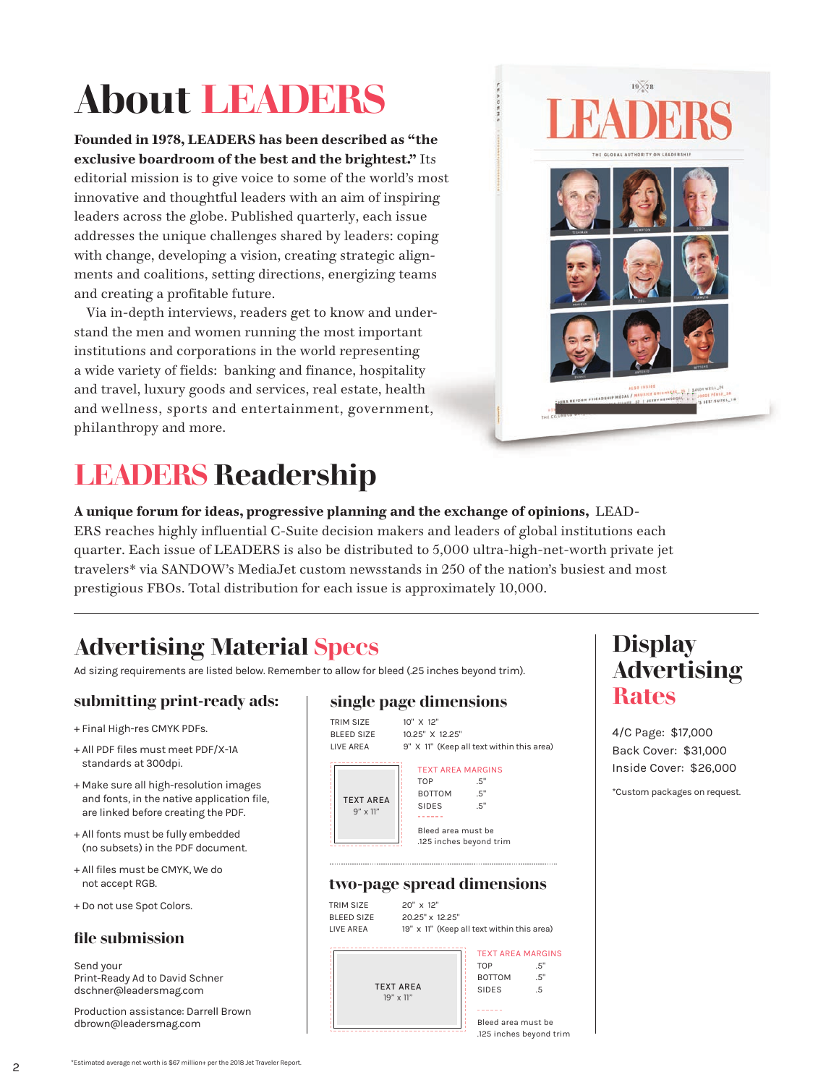# **About LEADERS**

**Founded in 1978, LEADERS has been described as "the exclusive boardroom of the best and the brightest."** Its editorial mission is to give voice to some of the world's most innovative and thoughtful leaders with an aim of inspiring leaders across the globe. Published quarterly, each issue addresses the unique challenges shared by leaders: coping with change, developing a vision, creating strategic alignments and coalitions, setting directions, energizing teams and creating a profitable future.

Via in-depth interviews, readers get to know and understand the men and women running the most important institutions and corporations in the world representing a wide variety of fields: banking and finance, hospitality and travel, luxury goods and services, real estate, health and wellness, sports and entertainment, government, philanthropy and more.



## **LEADERS Readership**

#### **A unique forum for ideas, progressive planning and the exchange of opinions,** LEAD-

ERS reaches highly influential C-Suite decision makers and leaders of global institutions each quarter. Each issue of LEADERS is also be distributed to 5,000 ultra-high-net-worth private jet travelers\* via SANDOW's MediaJet custom newsstands in 250 of the nation's busiest and most prestigious FBOs. Total distribution for each issue is approximately 10,000.

### **Advertising Material Specs**

Ad sizing requirements are listed below. Remember to allow for bleed (.25 inches beyond trim).

### **submitting print-ready ads:**

- + Final High-res CMYK PDFs.
- + All PDF files must meet PDF/X-1A standards at 300dpi.
- + Make sure all high-resolution images and fonts, in the native application file, are linked before creating the PDF.
- + All fonts must be fully embedded (no subsets) in the PDF document.
- + All files must be CMYK, We do not accept RGB.
- + Do not use Spot Colors.

### **file submission**

Send your Print-Ready Ad to David Schner dschner@leadersmag.com

Production assistance: Darrell Brown dbrown@leadersmag.com

#### **single page dimensions**



### **two-page spread dimensions**



![](_page_1_Figure_23.jpeg)

### **Display Advertising Rates**

4/C Page: \$17,000 Back Cover: \$31,000 Inside Cover: \$26,000

\*Custom packages on request.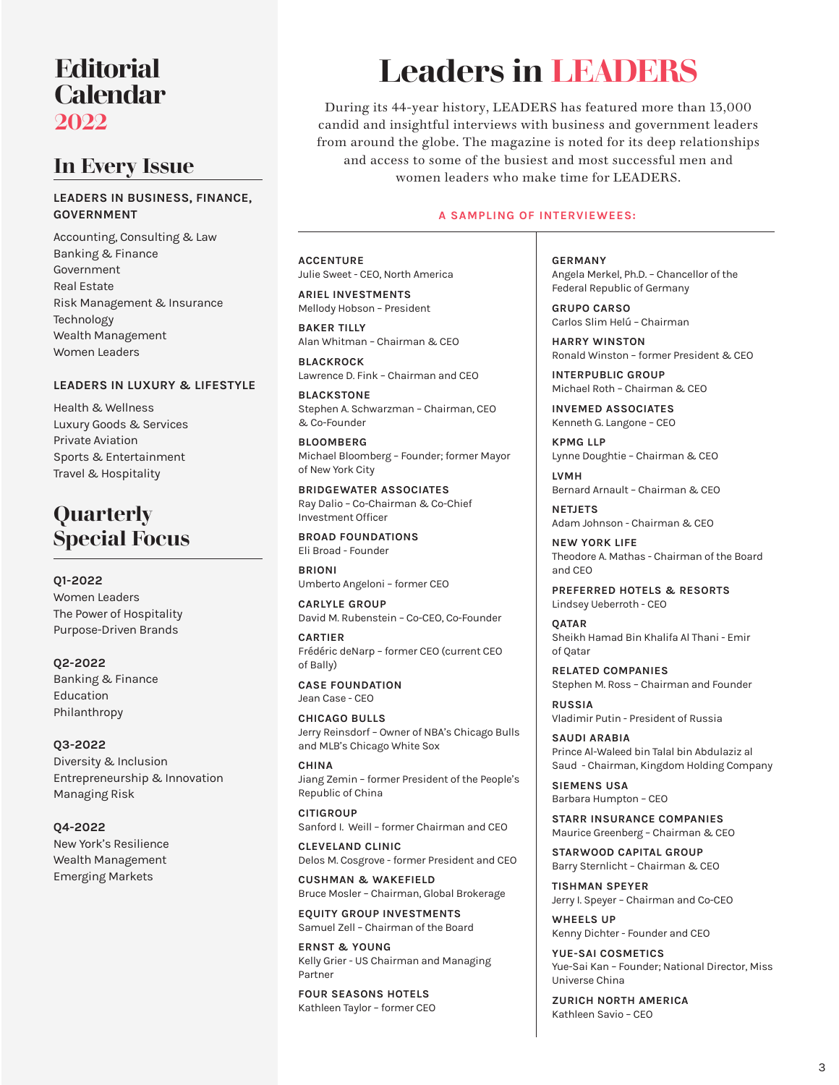### **Editorial Calendar 2022**

### **In Every Issue**

#### **LEADERS IN BUSINESS, FINANCE, GOVERNMENT**

Accounting, Consulting & Law Banking & Finance Government Real Estate Risk Management & Insurance Technology Wealth Management Women Leaders

#### **LEADERS IN LUXURY & LIFESTYLE**

Health & Wellness Luxury Goods & Services Private Aviation Sports & Entertainment Travel & Hospitality

### **Quarterly Special Focus**

**Q1-2022**

Women Leaders The Power of Hospitality Purpose-Driven Brands

#### **Q2-2022** Banking & Finance Education Philanthropy

**Q3-2022** Diversity & Inclusion Entrepreneurship & Innovation Managing Risk

**Q4-2022** New York's Resilience Wealth Management Emerging Markets

# **Leaders in LEADERS**

During its 44-year history, LEADERS has featured more than 13,000 candid and insightful interviews with business and government leaders from around the globe. The magazine is noted for its deep relationships and access to some of the busiest and most successful men and women leaders who make time for LEADERS.

#### **A SAMPLING OF INTERVIEWEES:**

**ACCENTURE**  Julie Sweet - CEO, North America

**ARIEL INVESTMENTS**  Mellody Hobson – President

**BAKER TILLY**  Alan Whitman – Chairman & CEO

**BLACKROCK**  Lawrence D. Fink – Chairman and CEO

**BLACKSTONE**  Stephen A. Schwarzman – Chairman, CEO & Co-Founder

**BLOOMBERG**  Michael Bloomberg – Founder; former Mayor of New York City

**BRIDGEWATER ASSOCIATES**  Ray Dalio – Co-Chairman & Co-Chief Investment Officer

**BROAD FOUNDATIONS**  Eli Broad - Founder

**BRIONI**  Umberto Angeloni – former CEO

**CARLYLE GROUP**  David M. Rubenstein – Co-CEO, Co-Founder

**CARTIER**  Frédéric deNarp – former CEO (current CEO of Bally)

**CASE FOUNDATION** Jean Case - CEO

**CHICAGO BULLS**  Jerry Reinsdorf – Owner of NBA's Chicago Bulls and MLB's Chicago White Sox

**CHINA** Jiang Zemin – former President of the People's Republic of China

**CITIGROUP**  Sanford I. Weill – former Chairman and CEO

**CLEVELAND CLINIC**  Delos M. Cosgrove - former President and CEO

**CUSHMAN & WAKEFIELD**  Bruce Mosler – Chairman, Global Brokerage

**EQUITY GROUP INVESTMENTS**  Samuel Zell – Chairman of the Board

**ERNST & YOUNG** Kelly Grier - US Chairman and Managing Partner

**FOUR SEASONS HOTELS**  Kathleen Taylor – former CEO **GERMANY**  Angela Merkel, Ph.D. – Chancellor of the Federal Republic of Germany

**GRUPO CARSO**  Carlos Slim Helú – Chairman

**HARRY WINSTON**  Ronald Winston – former President & CEO

**INTERPUBLIC GROUP**  Michael Roth – Chairman & CEO

**INVEMED ASSOCIATES**  Kenneth G. Langone – CEO

**KPMG LLP**  Lynne Doughtie – Chairman & CEO

**LVMH**  Bernard Arnault – Chairman & CEO

**NETJETS**  Adam Johnson - Chairman & CEO

**NEW YORK LIFE**  Theodore A. Mathas - Chairman of the Board and CEO

**PREFERRED HOTELS & RESORTS**  Lindsey Ueberroth - CEO

**QATAR** Sheikh Hamad Bin Khalifa Al Thani - Emir of Qatar

**RELATED COMPANIES**  Stephen M. Ross – Chairman and Founder

**RUSSIA**  Vladimir Putin - President of Russia

**SAUDI ARABIA**  Prince Al-Waleed bin Talal bin Abdulaziz al Saud - Chairman, Kingdom Holding Company

**SIEMENS USA**  Barbara Humpton – CEO

**STARR INSURANCE COMPANIES**  Maurice Greenberg – Chairman & CEO

**STARWOOD CAPITAL GROUP**  Barry Sternlicht – Chairman & CEO

**TISHMAN SPEYER**  Jerry I. Speyer – Chairman and Co-CEO

**WHEELS UP**  Kenny Dichter - Founder and CEO

**YUE-SAI COSMETICS**  Yue-Sai Kan – Founder; National Director, Miss Universe China

**ZURICH NORTH AMERICA**  Kathleen Savio – CEO